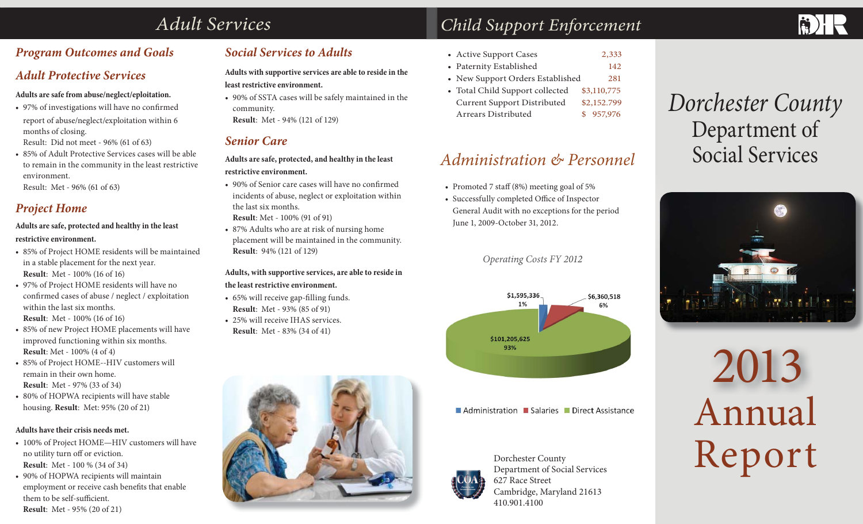# *Adult Services*

# *Program Outcomes and Goals*

# *Adult Protective Services*

#### **Adults are safe from abuse/neglect/eploitation.**

• 97% of investigations will have no confirmed report of abuse/neglect/exploitation within 6 months of closing.

Result: Did not meet - 96% (61 of 63)

• 85% of Adult Protective Services cases will be able to remain in the community in the least restrictive environment.

Result: Met - 96% (61 of 63)

# *Project Home*

#### **Adults are safe, protected and healthy in the least restrictive environment.**

- 85% of Project HOME residents will be maintained in a stable placement for the next year. **Result**: Met - 100% (16 of 16)
- 97% of Project HOME residents will have no confirmed cases of abuse / neglect / exploitation within the last six months. **Result**: Met - 100% (16 of 16)
- 85% of new Project HOME placements will have improved functioning within six months. **Result**: Met - 100% (4 of 4)
- 85% of Project HOME--HIV customers will remain in their own home. **Result**: Met - 97% (33 of 34)
- 80% of HOPWA recipients will have stable housing. **Result**: Met: 95% (20 of 21)

#### **Adults have their crisis needs met.**

- 100% of Project HOME—HIV customers will have no utility turn off or eviction. **Result**: Met - 100 % (34 of 34)
- 90% of HOPWA recipients will maintain employment or receive cash benefits that enable them to be self-sufficient. **Result**: Met - 95% (20 of 21)

# *Social Services to Adults*

**Adults with supportive services are able to reside in the least restrictive environment.**

• 90% of SSTA cases will be safely maintained in the community. **Result**: Met - 94% (121 of 129)

## *Senior Care*

**Adults are safe, protected, and healthy in the least restrictive environment.** 

- 90% of Senior care cases will have no confirmed incidents of abuse, neglect or exploitation within the last six months. **Result**: Met - 100% (91 of 91)
- 87% Adults who are at risk of nursing home placement will be maintained in the community. **Result**: 94% (121 of 129)

#### **Adults, with supportive services, are able to reside in the least restrictive environment.**

- 65% will receive gap-filling funds. **Result**: Met - 93% (85 of 91)
- 25% will receive IHAS services. **Result**: Met - 83% (34 of 41)



# *Child Support Enforcement*

- Active Support Cases 2,333
- Paternity Established 142
- New Support Orders Established 281
- Total Child Support collected \$3,110,775 Current Support Distributed \$2,152.799 Arrears Distributed \$ 957,976

# *Administration & Personnel*

- Promoted 7 staff (8%) meeting goal of 5%
- <sup>2</sup><br>
<sup>2</sup> Promoted 7 staff (8%) meeting goal of<br>
<sup>2</sup><br>
<sup>2</sup> Successfully completed Office of Insp<br>
<sup>2</sup> General Audit with no exceptions for<br>
<sup>2</sup> June 1, 2009-October 31, 2012.<br>
2012. • Successfully completed Office of Inspector General Audit with no exceptions for the period June 1, 2009-October 31, 2012.

*Operating Costs FY 2012 Costs FY 2 01*



Administration Salaries Direct Assistance



Dorchester County Department of Social Services 627 Race StreetCambridge, Maryland 21613 410.901.4100

# *Dorchester County*  Department of Social Services



# 2013 Annual Report